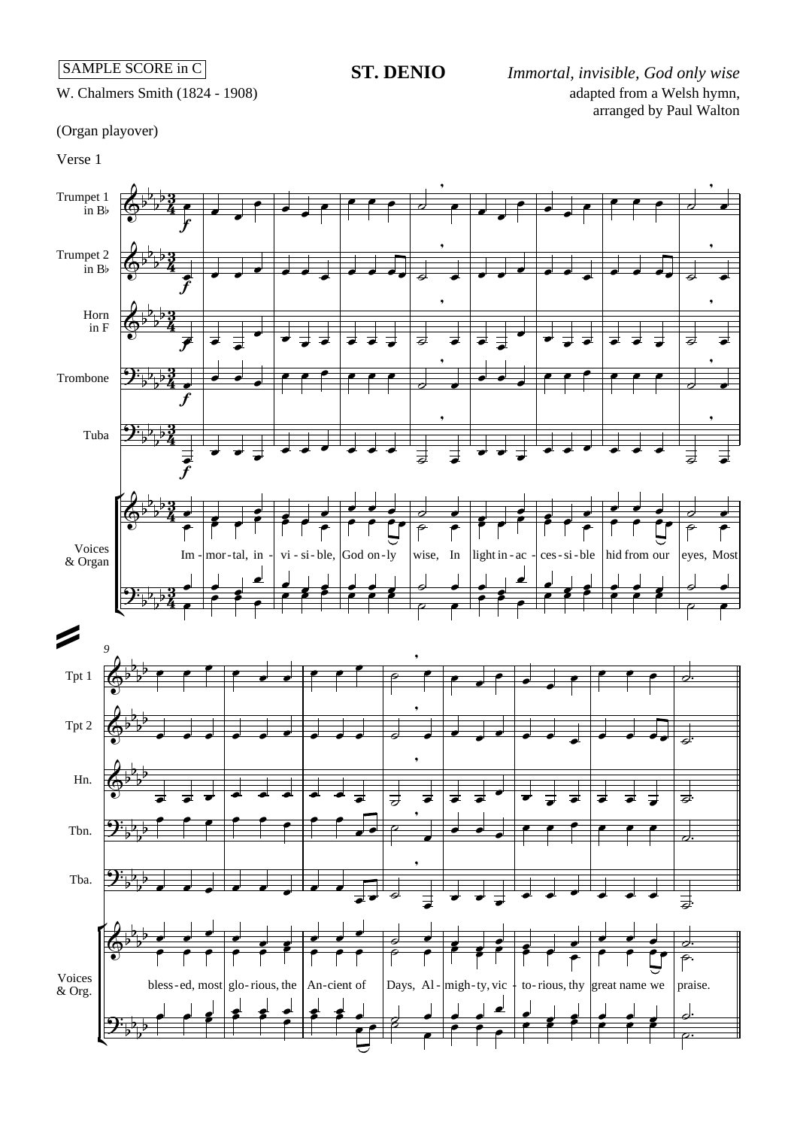## **ST. DENIO**

adapted from a Welsh hymn, arranged by Paul Walton *Immortal, invisible, God only wise*

W. Chalmers Smith (1824 - 1908)

(Organ playover)

Verse 1

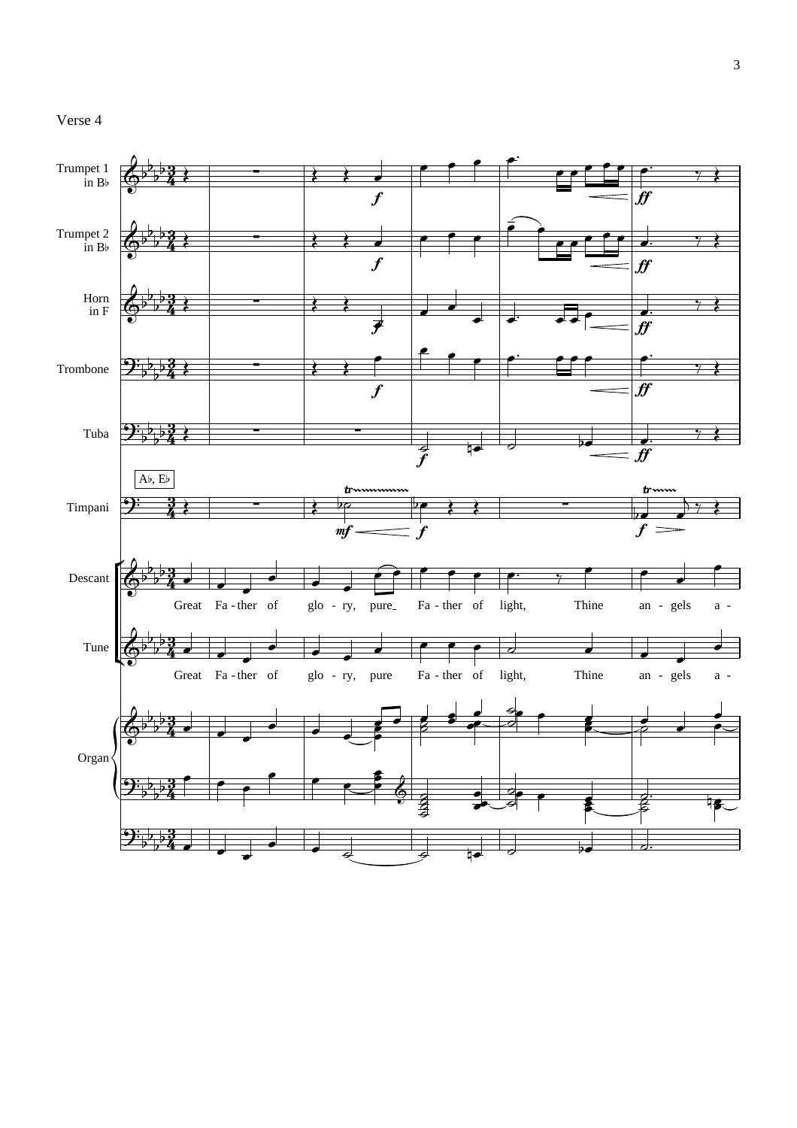## Verse 4